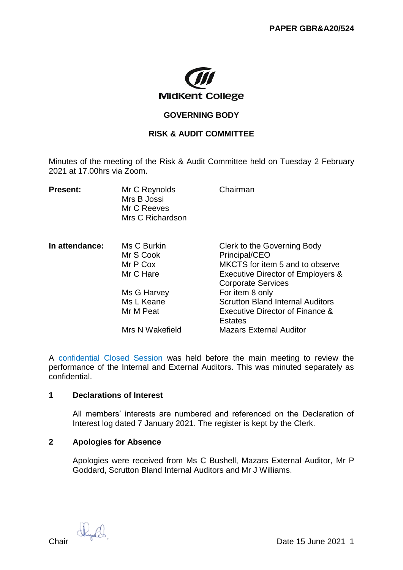

## **GOVERNING BODY**

# **RISK & AUDIT COMMITTEE**

Minutes of the meeting of the Risk & Audit Committee held on Tuesday 2 February 2021 at 17.00hrs via Zoom.

| <b>Present:</b> | Mr C Reynolds<br>Mrs B Jossi<br>Mr C Reeves<br>Mrs C Richardson | Chairman                                                                                                                                          |
|-----------------|-----------------------------------------------------------------|---------------------------------------------------------------------------------------------------------------------------------------------------|
| In attendance:  | Ms C Burkin<br>Mr S Cook<br>Mr P Cox<br>Mr C Hare               | Clerk to the Governing Body<br>Principal/CEO<br>MKCTS for item 5 and to observe<br>Executive Director of Employers &<br><b>Corporate Services</b> |
|                 | Ms G Harvey                                                     | For item 8 only                                                                                                                                   |
|                 | Ms L Keane                                                      | <b>Scrutton Bland Internal Auditors</b>                                                                                                           |
|                 | Mr M Peat                                                       | Executive Director of Finance &<br><b>Estates</b>                                                                                                 |
|                 | Mrs N Wakefield                                                 | <b>Mazars External Auditor</b>                                                                                                                    |

A confidential Closed Session was held before the main meeting to review the performance of the Internal and External Auditors. This was minuted separately as confidential.

### **1 Declarations of Interest**

All members' interests are numbered and referenced on the Declaration of Interest log dated 7 January 2021. The register is kept by the Clerk.

# **2 Apologies for Absence**

Apologies were received from Ms C Bushell, Mazars External Auditor, Mr P Goddard, Scrutton Bland Internal Auditors and Mr J Williams.

 $\mathbb{C}$  Chair  $\mathbb{C}$  Date 15 June 2021 1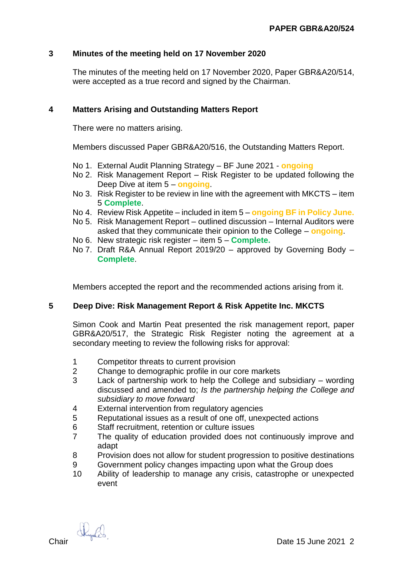# **3 Minutes of the meeting held on 17 November 2020**

The minutes of the meeting held on 17 November 2020, Paper GBR&A20/514, were accepted as a true record and signed by the Chairman.

# **4 Matters Arising and Outstanding Matters Report**

There were no matters arising.

Members discussed Paper GBR&A20/516, the Outstanding Matters Report.

- No 1. External Audit Planning Strategy BF June 2021 **ongoing**
- No 2. Risk Management Report Risk Register to be updated following the Deep Dive at item 5 – **ongoing**.
- No 3. Risk Register to be review in line with the agreement with MKCTS item 5 **Complete**.
- No 4. Review Risk Appetite included in item 5 **ongoing BF in Policy June.**
- No 5. Risk Management Report outlined discussion Internal Auditors were asked that they communicate their opinion to the College – **ongoing**.
- No 6. New strategic risk register item 5 **Complete.**
- No 7. Draft R&A Annual Report 2019/20 approved by Governing Body **Complete**.

Members accepted the report and the recommended actions arising from it.

### **5 Deep Dive: Risk Management Report & Risk Appetite Inc. MKCTS**

Simon Cook and Martin Peat presented the risk management report, paper GBR&A20/517, the Strategic Risk Register noting the agreement at a secondary meeting to review the following risks for approval:

- 1 Competitor threats to current provision
- 2 Change to demographic profile in our core markets
- 3 Lack of partnership work to help the College and subsidiary wording discussed and amended to; *Is the partnership helping the College and subsidiary to move forward*
- 4 External intervention from regulatory agencies
- 5 Reputational issues as a result of one off, unexpected actions
- 6 Staff recruitment, retention or culture issues
- 7 The quality of education provided does not continuously improve and adapt
- 8 Provision does not allow for student progression to positive destinations
- 9 Government policy changes impacting upon what the Group does
- 10 Ability of leadership to manage any crisis, catastrophe or unexpected event

Kyles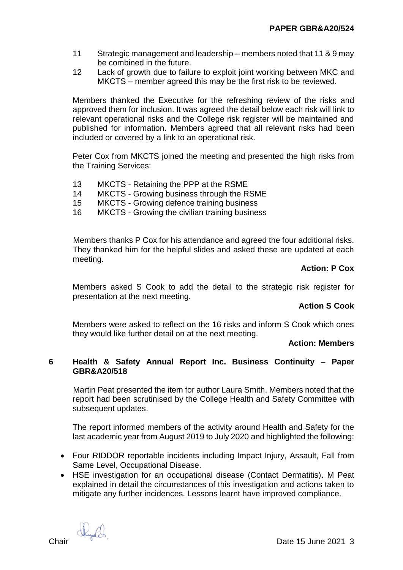- 11 Strategic management and leadership members noted that 11 & 9 may be combined in the future.
- 12 Lack of growth due to failure to exploit joint working between MKC and MKCTS – member agreed this may be the first risk to be reviewed.

Members thanked the Executive for the refreshing review of the risks and approved them for inclusion. It was agreed the detail below each risk will link to relevant operational risks and the College risk register will be maintained and published for information. Members agreed that all relevant risks had been included or covered by a link to an operational risk.

Peter Cox from MKCTS joined the meeting and presented the high risks from the Training Services:

- 13 MKCTS Retaining the PPP at the RSME
- 14 MKCTS Growing business through the RSME
- 15 MKCTS Growing defence training business
- 16 MKCTS Growing the civilian training business

Members thanks P Cox for his attendance and agreed the four additional risks. They thanked him for the helpful slides and asked these are updated at each meeting.

#### **Action: P Cox**

Members asked S Cook to add the detail to the strategic risk register for presentation at the next meeting.

### **Action S Cook**

Members were asked to reflect on the 16 risks and inform S Cook which ones they would like further detail on at the next meeting.

#### **Action: Members**

### **6 Health & Safety Annual Report Inc. Business Continuity – Paper GBR&A20/518**

Martin Peat presented the item for author Laura Smith. Members noted that the report had been scrutinised by the College Health and Safety Committee with subsequent updates.

The report informed members of the activity around Health and Safety for the last academic year from August 2019 to July 2020 and highlighted the following;

- Four RIDDOR reportable incidents including Impact Injury, Assault, Fall from Same Level, Occupational Disease.
- HSE investigation for an occupational disease (Contact Dermatitis). M Peat explained in detail the circumstances of this investigation and actions taken to mitigate any further incidences. Lessons learnt have improved compliance.

 $\mathbb{R}_{\mathbb{R}}$   $\mathbb{R}_{\mathbb{R}}$  Date 15 June 2021 3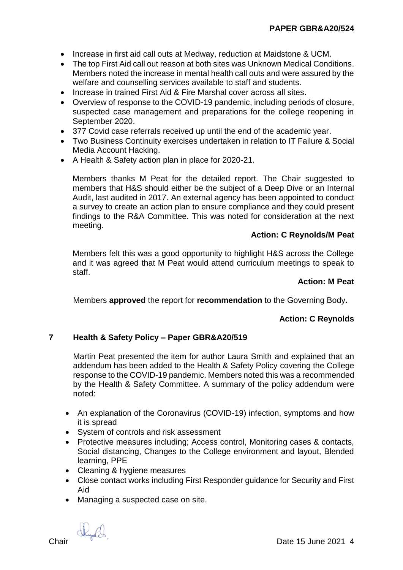- Increase in first aid call outs at Medway, reduction at Maidstone & UCM.
- The top First Aid call out reason at both sites was Unknown Medical Conditions. Members noted the increase in mental health call outs and were assured by the welfare and counselling services available to staff and students.
- Increase in trained First Aid & Fire Marshal cover across all sites.
- Overview of response to the COVID-19 pandemic, including periods of closure, suspected case management and preparations for the college reopening in September 2020.
- 377 Covid case referrals received up until the end of the academic year.
- Two Business Continuity exercises undertaken in relation to IT Failure & Social Media Account Hacking.
- A Health & Safety action plan in place for 2020-21.

Members thanks M Peat for the detailed report. The Chair suggested to members that H&S should either be the subject of a Deep Dive or an Internal Audit, last audited in 2017. An external agency has been appointed to conduct a survey to create an action plan to ensure compliance and they could present findings to the R&A Committee. This was noted for consideration at the next meeting.

# **Action: C Reynolds/M Peat**

Members felt this was a good opportunity to highlight H&S across the College and it was agreed that M Peat would attend curriculum meetings to speak to staff.

#### **Action: M Peat**

Members **approved** the report for **recommendation** to the Governing Body**.**

# **Action: C Reynolds**

# **7 Health & Safety Policy – Paper GBR&A20/519**

Martin Peat presented the item for author Laura Smith and explained that an addendum has been added to the Health & Safety Policy covering the College response to the COVID-19 pandemic. Members noted this was a recommended by the Health & Safety Committee. A summary of the policy addendum were noted:

- An explanation of the Coronavirus (COVID-19) infection, symptoms and how it is spread
- System of controls and risk assessment
- Protective measures including: Access control, Monitoring cases & contacts, Social distancing, Changes to the College environment and layout, Blended learning, PPE
- Cleaning & hygiene measures
- Close contact works including First Responder guidance for Security and First Aid
- Managing a suspected case on site.

 $\mathbb{C}$  Chair Date 15 June 2021 4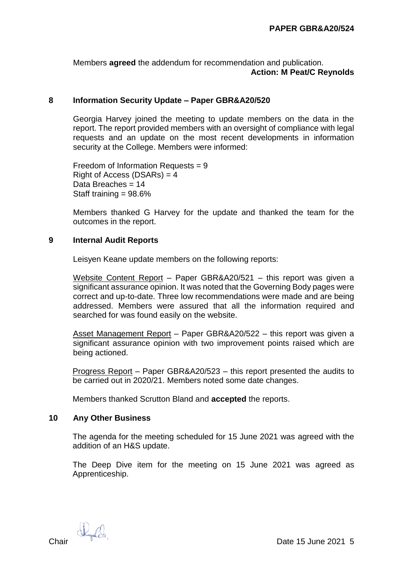Members **agreed** the addendum for recommendation and publication. **Action: M Peat/C Reynolds**

#### **8 Information Security Update – Paper GBR&A20/520**

Georgia Harvey joined the meeting to update members on the data in the report. The report provided members with an oversight of compliance with legal requests and an update on the most recent developments in information security at the College. Members were informed:

Freedom of Information Requests = 9 Right of Access (DSARs)  $=$  4 Data Breaches = 14 Staff training = 98.6%

Members thanked G Harvey for the update and thanked the team for the outcomes in the report.

#### **9 Internal Audit Reports**

Leisyen Keane update members on the following reports:

Website Content Report – Paper GBR&A20/521 – this report was given a significant assurance opinion. It was noted that the Governing Body pages were correct and up-to-date. Three low recommendations were made and are being addressed. Members were assured that all the information required and searched for was found easily on the website.

Asset Management Report – Paper GBR&A20/522 – this report was given a significant assurance opinion with two improvement points raised which are being actioned.

Progress Report – Paper GBR&A20/523 – this report presented the audits to be carried out in 2020/21. Members noted some date changes.

Members thanked Scrutton Bland and **accepted** the reports.

#### **10 Any Other Business**

The agenda for the meeting scheduled for 15 June 2021 was agreed with the addition of an H&S update.

The Deep Dive item for the meeting on 15 June 2021 was agreed as Apprenticeship.

 $\mathbb{R}_{\mathbb{R}}$   $\mathbb{R}_{\mathbb{R}}$  Date 15 June 2021 5